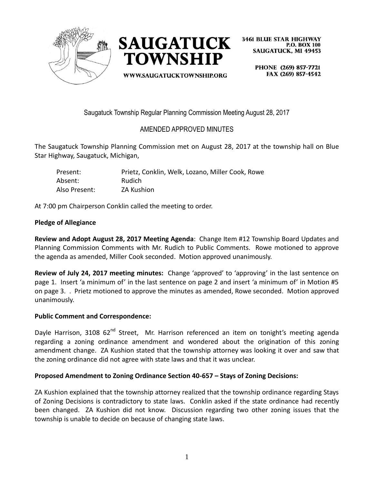



**3461 BLUE STAR HIGHWAY P.O. BOX 100 SAUGATUCK. MI 49453** 

PHONE (269) 857-7721 FAX (269) 857-4542 WWW.SAUGATUCKTOWNSHIP.ORG

Saugatuck Township Regular Planning Commission Meeting August 28, 2017

# AMENDED APPROVED MINUTES

The Saugatuck Township Planning Commission met on August 28, 2017 at the township hall on Blue Star Highway, Saugatuck, Michigan,

| Present:      | Prietz, Conklin, Welk, Lozano, Miller Cook, Rowe |
|---------------|--------------------------------------------------|
| Absent:       | Rudich                                           |
| Also Present: | <b>ZA Kushion</b>                                |

At 7:00 pm Chairperson Conklin called the meeting to order.

# **Pledge of Allegiance**

**Review and Adopt August 28, 2017 Meeting Agenda**: Change Item #12 Township Board Updates and Planning Commission Comments with Mr. Rudich to Public Comments. Rowe motioned to approve the agenda as amended, Miller Cook seconded. Motion approved unanimously.

**Review of July 24, 2017 meeting minutes:** Change 'approved' to 'approving' in the last sentence on page 1. Insert 'a minimum of' in the last sentence on page 2 and insert 'a minimum of' in Motion #5 on page 3. . Prietz motioned to approve the minutes as amended, Rowe seconded. Motion approved unanimously.

#### **Public Comment and Correspondence:**

Dayle Harrison, 3108 62<sup>nd</sup> Street, Mr. Harrison referenced an item on tonight's meeting agenda regarding a zoning ordinance amendment and wondered about the origination of this zoning amendment change. ZA Kushion stated that the township attorney was looking it over and saw that the zoning ordinance did not agree with state laws and that it was unclear.

# **Proposed Amendment to Zoning Ordinance Section 40-657 – Stays of Zoning Decisions:**

ZA Kushion explained that the township attorney realized that the township ordinance regarding Stays of Zoning Decisions is contradictory to state laws. Conklin asked if the state ordinance had recently been changed. ZA Kushion did not know. Discussion regarding two other zoning issues that the township is unable to decide on because of changing state laws.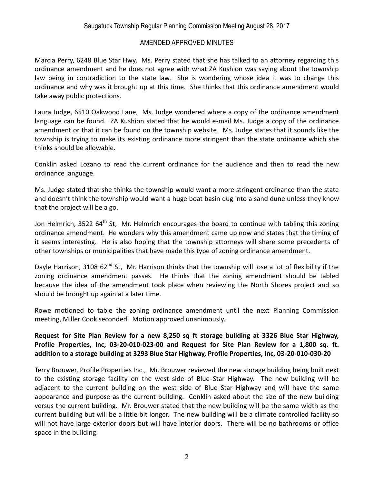## AMENDED APPROVED MINUTES

Marcia Perry, 6248 Blue Star Hwy, Ms. Perry stated that she has talked to an attorney regarding this ordinance amendment and he does not agree with what ZA Kushion was saying about the township law being in contradiction to the state law. She is wondering whose idea it was to change this ordinance and why was it brought up at this time. She thinks that this ordinance amendment would take away public protections.

Laura Judge, 6510 Oakwood Lane, Ms. Judge wondered where a copy of the ordinance amendment language can be found. ZA Kushion stated that he would e-mail Ms. Judge a copy of the ordinance amendment or that it can be found on the township website. Ms. Judge states that it sounds like the township is trying to make its existing ordinance more stringent than the state ordinance which she thinks should be allowable.

Conklin asked Lozano to read the current ordinance for the audience and then to read the new ordinance language.

Ms. Judge stated that she thinks the township would want a more stringent ordinance than the state and doesn't think the township would want a huge boat basin dug into a sand dune unless they know that the project will be a go.

Jon Helmrich, 3522 64<sup>th</sup> St, Mr. Helmrich encourages the board to continue with tabling this zoning ordinance amendment. He wonders why this amendment came up now and states that the timing of it seems interesting. He is also hoping that the township attorneys will share some precedents of other townships or municipalities that have made this type of zoning ordinance amendment.

Dayle Harrison, 3108 62<sup>nd</sup> St, Mr. Harrison thinks that the township will lose a lot of flexibility if the zoning ordinance amendment passes. He thinks that the zoning amendment should be tabled because the idea of the amendment took place when reviewing the North Shores project and so should be brought up again at a later time.

Rowe motioned to table the zoning ordinance amendment until the next Planning Commission meeting, Miller Cook seconded. Motion approved unanimously.

## **Request for Site Plan Review for a new 8,250 sq ft storage building at 3326 Blue Star Highway, Profile Properties, Inc, 03-20-010-023-00 and Request for Site Plan Review for a 1,800 sq. ft. addition to a storage building at 3293 Blue Star Highway, Profile Properties, Inc, 03-20-010-030-20**

Terry Brouwer, Profile Properties Inc., Mr. Brouwer reviewed the new storage building being built next to the existing storage facility on the west side of Blue Star Highway. The new building will be adjacent to the current building on the west side of Blue Star Highway and will have the same appearance and purpose as the current building. Conklin asked about the size of the new building versus the current building. Mr. Brouwer stated that the new building will be the same width as the current building but will be a little bit longer. The new building will be a climate controlled facility so will not have large exterior doors but will have interior doors. There will be no bathrooms or office space in the building.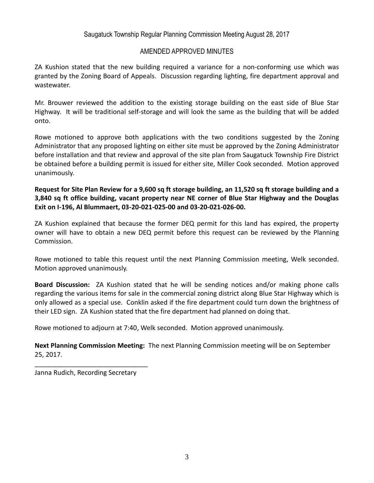## Saugatuck Township Regular Planning Commission Meeting August 28, 2017

#### AMENDED APPROVED MINUTES

ZA Kushion stated that the new building required a variance for a non-conforming use which was granted by the Zoning Board of Appeals. Discussion regarding lighting, fire department approval and wastewater.

Mr. Brouwer reviewed the addition to the existing storage building on the east side of Blue Star Highway. It will be traditional self-storage and will look the same as the building that will be added onto.

Rowe motioned to approve both applications with the two conditions suggested by the Zoning Administrator that any proposed lighting on either site must be approved by the Zoning Administrator before installation and that review and approval of the site plan from Saugatuck Township Fire District be obtained before a building permit is issued for either site, Miller Cook seconded. Motion approved unanimously.

**Request for Site Plan Review for a 9,600 sq ft storage building, an 11,520 sq ft storage building and a 3,840 sq ft office building, vacant property near NE corner of Blue Star Highway and the Douglas Exit on I-196, Al Blummaert, 03-20-021-025-00 and 03-20-021-026-00.**

ZA Kushion explained that because the former DEQ permit for this land has expired, the property owner will have to obtain a new DEQ permit before this request can be reviewed by the Planning Commission.

Rowe motioned to table this request until the next Planning Commission meeting, Welk seconded. Motion approved unanimously.

**Board Discussion:** ZA Kushion stated that he will be sending notices and/or making phone calls regarding the various items for sale in the commercial zoning district along Blue Star Highway which is only allowed as a special use. Conklin asked if the fire department could turn down the brightness of their LED sign. ZA Kushion stated that the fire department had planned on doing that.

Rowe motioned to adjourn at 7:40, Welk seconded. Motion approved unanimously.

**Next Planning Commission Meeting:** The next Planning Commission meeting will be on September 25, 2017.

Janna Rudich, Recording Secretary

\_\_\_\_\_\_\_\_\_\_\_\_\_\_\_\_\_\_\_\_\_\_\_\_\_\_\_\_\_\_\_